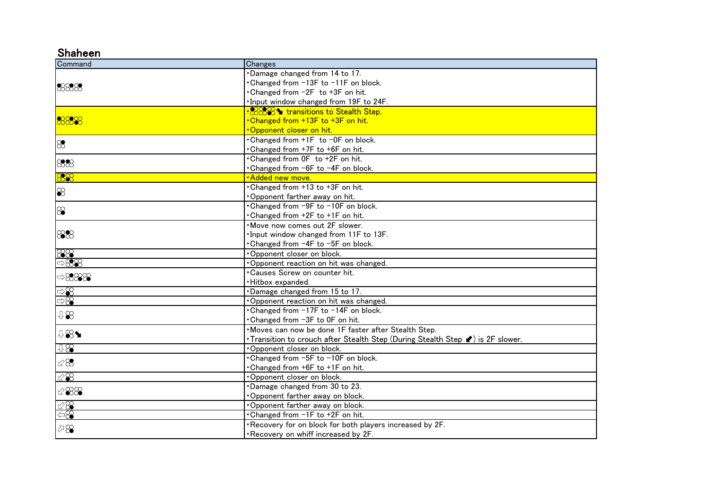## Shaheen

| Command                      | Changes                                                                         |
|------------------------------|---------------------------------------------------------------------------------|
|                              | Damage changed from 14 to 17.                                                   |
| 8888                         | Changed from -13F to -11F on block.                                             |
|                              | • Changed from -2F to +3F on hit.                                               |
|                              | Input window changed from 19F to 24F.                                           |
|                              | • 8889999999 transitions to Stealth Step.                                       |
| 8888                         | . Changed from +13F to +3F on hit.                                              |
|                              | <u> Opponent closer on hit.</u>                                                 |
| $\otimes$                    | • Changed from +1F to −0F on block.                                             |
|                              | Changed from +7F to +6F on hit.                                                 |
|                              | Changed from OF to +2F on hit.                                                  |
| 888                          | •Changed from -6F to -4F on block.                                              |
| 888                          | ·Added new move.                                                                |
|                              | Changed from +13 to +3F on hit.                                                 |
| $\otimes$                    | Opponent farther away on hit.                                                   |
|                              | • Changed from -9F to -10F on block.                                            |
| $\infty$                     | Changed from +2F to +1F on hit.                                                 |
|                              | . Move now comes out 2F slower.                                                 |
| 888                          | Input window changed from 11F to 13F.                                           |
|                              | Changed from -4F to -5F on block.                                               |
| 88<br><del>988</del><br>⇒888 | Opponent closer on block.                                                       |
|                              | Opponent reaction on hit was changed.                                           |
| $\Rightarrow 8888$           | •Causes Screw on counter hit.                                                   |
|                              | Hitbox expanded.                                                                |
|                              | Damage changed from 15 to 17.                                                   |
| $\Rightarrow\!\mathcal{S}$   | Opponent reaction on hit was changed.                                           |
| 48                           | . Changed from -17F to -14F on block.                                           |
|                              | •Changed from −3F to 0F on hit.                                                 |
| <b>↓881</b>                  | Moves can now be done 1F faster after Stealth Step.                             |
|                              | • Transition to crouch after Stealth Step (During Stealth Step v) is 2F slower. |
| 0.88                         | Opponent closer on block.                                                       |
| $\mathcal{C}\mathcal{S}$     | • Changed from -5F to -10F on block.                                            |
|                              | Changed from +6F to +1F on hit.                                                 |
| $\otimes\!\!\!\!\!\otimes$   | Opponent closer on block.                                                       |
| $~\mathscr{B}88$             | Damage changed from 30 to 23.                                                   |
|                              | Opponent farther away on block.                                                 |
| $\frac{\sqrt{8}}{\sqrt{8}}$  | Opponent farther away on block.                                                 |
|                              | • Changed from -1F to +2F on hit.                                               |
| $\sqrt{8}$                   | . Recovery for on block for both players increased by 2F.                       |
|                              | . Recovery on whiff increased by 2F.                                            |